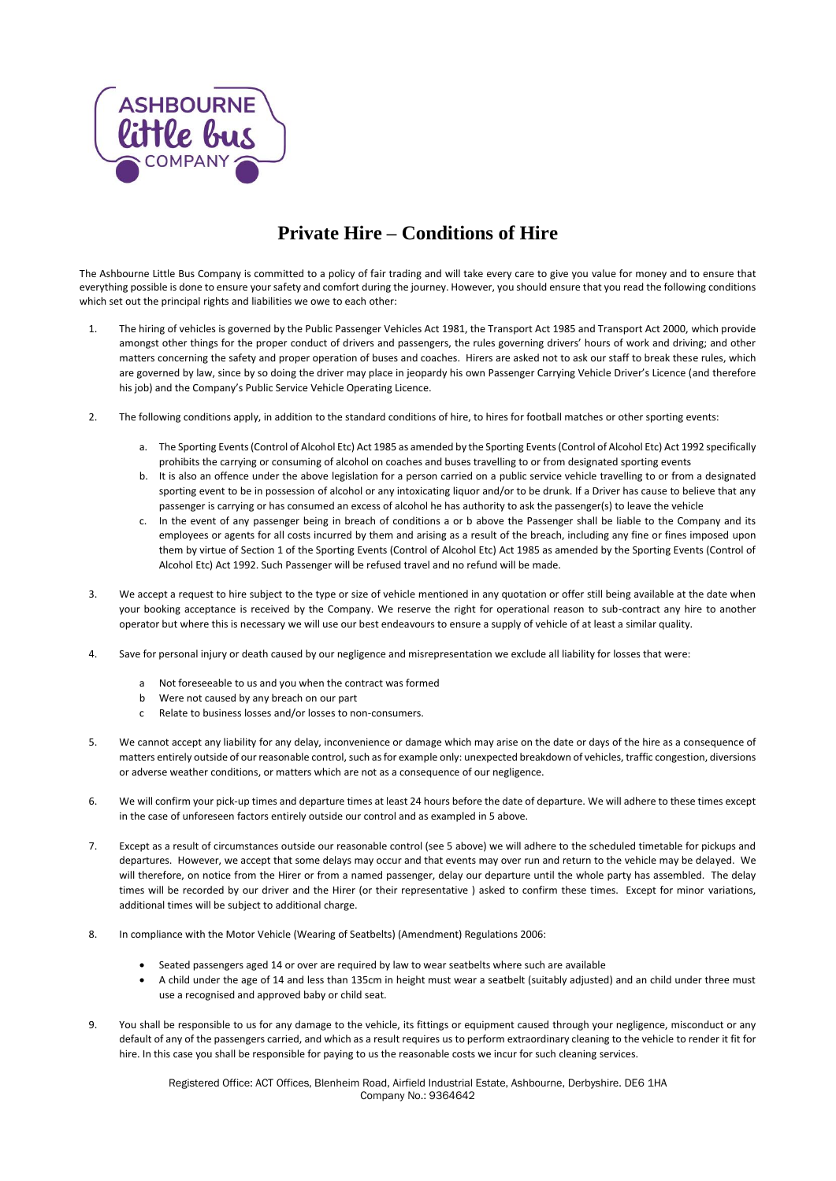

## **Private Hire – Conditions of Hire**

The Ashbourne Little Bus Company is committed to a policy of fair trading and will take every care to give you value for money and to ensure that everything possible is done to ensure yoursafety and comfort during the journey. However, you should ensure that you read the following conditions which set out the principal rights and liabilities we owe to each other:

- 1. The hiring of vehicles is governed by the Public Passenger Vehicles Act 1981, the Transport Act 1985 and Transport Act 2000, which provide amongst other things for the proper conduct of drivers and passengers, the rules governing drivers' hours of work and driving; and other matters concerning the safety and proper operation of buses and coaches. Hirers are asked not to ask our staff to break these rules, which are governed by law, since by so doing the driver may place in jeopardy his own Passenger Carrying Vehicle Driver's Licence (and therefore his job) and the Company's Public Service Vehicle Operating Licence.
- 2. The following conditions apply, in addition to the standard conditions of hire, to hires for football matches or other sporting events:
	- a. The Sporting Events (Control of Alcohol Etc) Act 1985 as amended by the Sporting Events (Control of Alcohol Etc) Act 1992 specifically prohibits the carrying or consuming of alcohol on coaches and buses travelling to or from designated sporting events
	- b. It is also an offence under the above legislation for a person carried on a public service vehicle travelling to or from a designated sporting event to be in possession of alcohol or any intoxicating liquor and/or to be drunk. If a Driver has cause to believe that any passenger is carrying or has consumed an excess of alcohol he has authority to ask the passenger(s) to leave the vehicle
	- c. In the event of any passenger being in breach of conditions a or b above the Passenger shall be liable to the Company and its employees or agents for all costs incurred by them and arising as a result of the breach, including any fine or fines imposed upon them by virtue of Section 1 of the Sporting Events (Control of Alcohol Etc) Act 1985 as amended by the Sporting Events (Control of Alcohol Etc) Act 1992. Such Passenger will be refused travel and no refund will be made.
- 3. We accept a request to hire subject to the type or size of vehicle mentioned in any quotation or offer still being available at the date when your booking acceptance is received by the Company. We reserve the right for operational reason to sub-contract any hire to another operator but where this is necessary we will use our best endeavours to ensure a supply of vehicle of at least a similar quality.
- 4. Save for personal injury or death caused by our negligence and misrepresentation we exclude all liability for losses that were:
	- a Not foreseeable to us and you when the contract was formed
	- b Were not caused by any breach on our part
	- c Relate to business losses and/or losses to non-consumers.
- 5. We cannot accept any liability for any delay, inconvenience or damage which may arise on the date or days of the hire as a consequence of matters entirely outside of our reasonable control, such as for example only: unexpected breakdown of vehicles, traffic congestion, diversions or adverse weather conditions, or matters which are not as a consequence of our negligence.
- 6. We will confirm your pick-up times and departure times at least 24 hours before the date of departure. We will adhere to these times except in the case of unforeseen factors entirely outside our control and as exampled in 5 above.
- 7. Except as a result of circumstances outside our reasonable control (see 5 above) we will adhere to the scheduled timetable for pickups and departures. However, we accept that some delays may occur and that events may over run and return to the vehicle may be delayed. We will therefore, on notice from the Hirer or from a named passenger, delay our departure until the whole party has assembled. The delay times will be recorded by our driver and the Hirer (or their representative ) asked to confirm these times. Except for minor variations, additional times will be subject to additional charge.
- 8. In compliance with the Motor Vehicle (Wearing of Seatbelts) (Amendment) Regulations 2006:
	- Seated passengers aged 14 or over are required by law to wear seatbelts where such are available
	- A child under the age of 14 and less than 135cm in height must wear a seatbelt (suitably adjusted) and an child under three must use a recognised and approved baby or child seat.
- 9. You shall be responsible to us for any damage to the vehicle, its fittings or equipment caused through your negligence, misconduct or any default of any of the passengers carried, and which as a result requires us to perform extraordinary cleaning to the vehicle to render it fit for hire. In this case you shall be responsible for paying to us the reasonable costs we incur for such cleaning services.

Registered Office: ACT Offices, Blenheim Road, Airfield Industrial Estate, Ashbourne, Derbyshire. DE6 1HA Company No.: 9364642